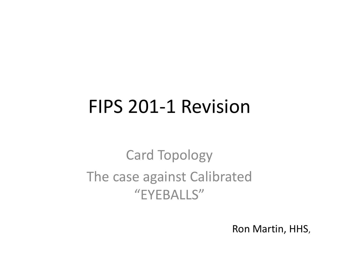### FIPS 201-1 Revision

#### Card Topology The case against Calibrated "EYEBALLS"

Ron Martin, HHS,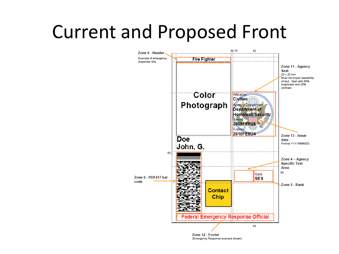### Current and Proposed Front



(Emergency Response example shown)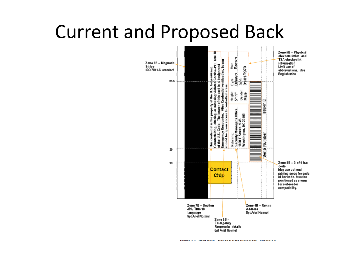### Current and Proposed Back

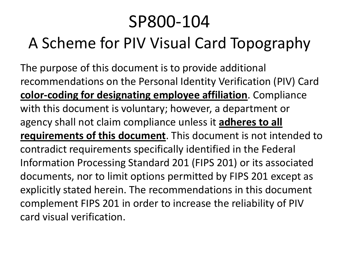#### SP800-104 A Scheme for PIV Visual Card Topography

The purpose of this document is to provide additional recommendations on the Personal Identity Verification (PIV) Card **color-coding for designating employee affiliation**. Compliance with this document is voluntary; however, a department or agency shall not claim compliance unless it **adheres to all requirements of this document**. This document is not intended to contradict requirements specifically identified in the Federal Information Processing Standard 201 (FIPS 201) or its associated documents, nor to limit options permitted by FIPS 201 except as explicitly stated herein. The recommendations in this document complement FIPS 201 in order to increase the reliability of PIV card visual verification.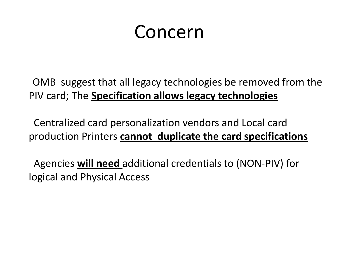### Concern

OMB suggest that all legacy technologies be removed from the PIV card; The **Specification allows legacy technologies**

Centralized card personalization vendors and Local card production Printers **cannot duplicate the card specifications**

Agencies **will need** additional credentials to (NON-PIV) for logical and Physical Access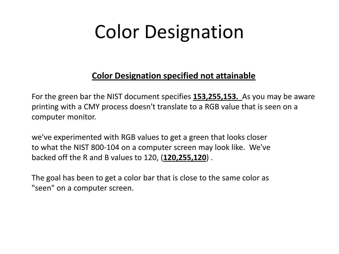# Color Designation

#### **Color Designation specified not attainable**

For the green bar the NIST document specifies **153,255,153.** As you may be aware printing with a CMY process doesn't translate to a RGB value that is seen on a computer monitor.

we've experimented with RGB values to get a green that looks closer to what the NIST 800-104 on a computer screen may look like. We've backed off the R and B values to 120, (**120,255,120**) .

The goal has been to get a color bar that is close to the same color as "seen" on a computer screen.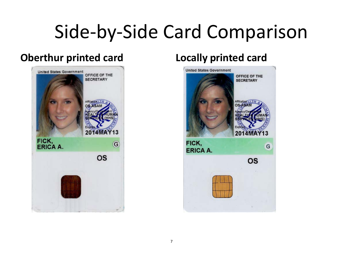## Side-by-Side Card Comparison

#### **Oberthur printed card Locally printed card**



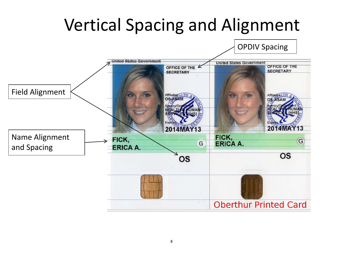#### Vertical Spacing and Alignment

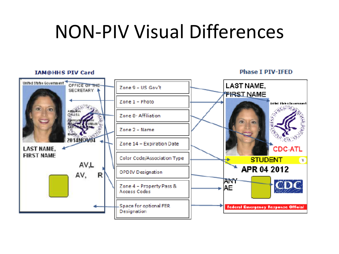### NON-PIV Visual Differences

#### **IAM@HHS PIV Card**

**Phase T PTV-TFFD** 

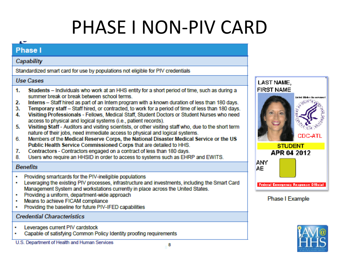# PHASE I NON-PIV CARD

CDC-ATL

#### œ **Phase I** Capability Standardized smart card for use by populations not eligible for PIV credentials **Use Cases LAST NAME, FIRST NAME** Students - Individuals who work at an HHS entity for a short period of time, such as during a 1. summer break or break between school terms. 2. Interns - Staff hired as part of an Intern program with a known duration of less than 180 days. Temporary staff - Staff hired, or contracted, to work for a period of time of less than 180 days. 3. 4. Visiting Professionals - Fellows, Medical Staff, Student Doctors or Student Nurses who need access to physical and logical systems (i.e., patient records). Visiting Staff - Auditors and visiting scientists, or other visiting staff who, due to the short term 5. nature of their jobs, need immediate access to physical and logical systems. Members of the Medical Reserve Corps, the National Disaster Medical Service or the US 6. Public Health Service Commissioned Corps that are detailed to HHS. **STUDENT** Contractors - Contractors engaged on a contract of less than 180 days. 7. APR 04 2012 Users who require an HHSID in order to access to systems such as EHRP and EWITS. 8 **ANY Benefits AE** Providing smartcards for the PIV-ineligible populations  $\bullet$ Leveraging the existing PIV processes, infrastructure and investments, including the Smart Card ٠ **Federal Emergency Response Official** Management System and workstations currently in place across the United States. Providing a uniform, department-wide approach ٠ Phase I Example Means to achieve FICAM compliance ٠ Providing the baseline for future PIV-IFED capabilities ٠ **Credential Characteristics** Leverages current PIV cardstock ٠ Capable of satisfying Common Policy Identity proofing requirements

U.S. Department of Health and Human Services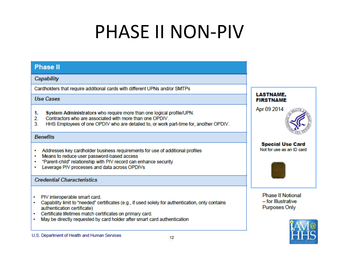## **PHASE II NON-PIV**

#### **Phase II**

#### Capability

Cardholders that require additional cards with different UPNs and/or SMTPs

**Use Cases** 

- System Administrators who require more than one logical profile/UPN.  $1.$
- $2<sup>1</sup>$ Contractors who are associated with more than one OPDIV.
- HHS Employees of one OPDIV who are detailed to, or work part-time for, another OPDIV. 3

#### **Benefits**

- Addresses key cardholder business requirements for use of additional profiles
- . Means to reduce user password-based access
- . "Parent-child" relationship with PIV record can enhance security
- Leverage PIV processes and data across OPDIVs

#### **Credential Characteristics**

- PIV interoperable smart card. ٠
- Capability limit to "needed" certificates (e.g., if used solely for authentication, only contains ٠ authentication certificate)
- Certificate lifetimes match certificates on primary card. ٠
- May be directly requested by card holder after smart card authentication



Apr 09 2014

**Special Use Card** Not for use as an ID card.



**Phase II Notional** - for Illustrative **Purposes Only**